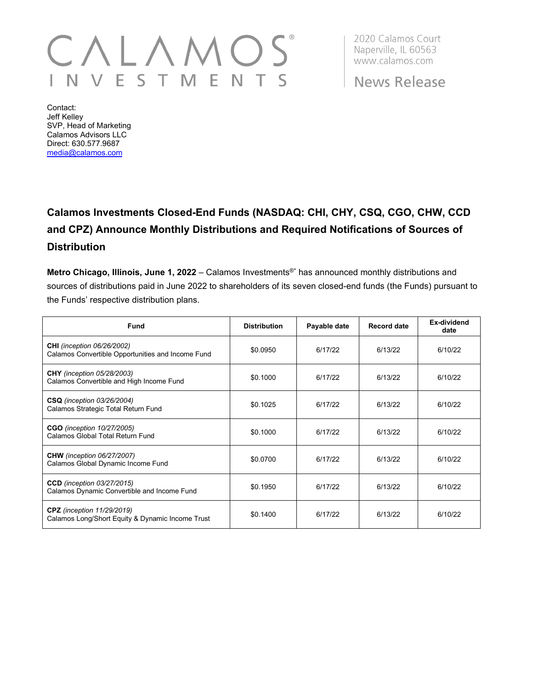## $\backslash$   $\lfloor$  / VESTMEN  $\mathsf{S}$

2020 Calamos Court Naperville, IL 60563 www.calamos.com

News Release

Contact: Jeff Kelley SVP, Head of Marketing Calamos Advisors LLC Direct: 630.577.9687 [media@calamos.com](mailto:media@calamos.com)

## **Calamos Investments Closed-End Funds (NASDAQ: CHI, CHY, CSQ, CGO, CHW, CCD and CPZ) Announce Monthly Distributions and Required Notifications of Sources of Distribution**

**Metro Chicago, Illinois, June 1, 2022** – Calamos Investments®\* has announced monthly distributions and sources of distributions paid in June 2022 to shareholders of its seven closed-end funds (the Funds) pursuant to the Funds' respective distribution plans.

| <b>Fund</b>                                                                            | <b>Distribution</b> | Payable date | <b>Record date</b> | Ex-dividend<br>date |
|----------------------------------------------------------------------------------------|---------------------|--------------|--------------------|---------------------|
| <b>CHI</b> (inception 06/26/2002)<br>Calamos Convertible Opportunities and Income Fund | \$0.0950            | 6/17/22      | 6/13/22            | 6/10/22             |
| <b>CHY</b> (inception 05/28/2003)<br>Calamos Convertible and High Income Fund          | \$0.1000            | 6/17/22      | 6/13/22            | 6/10/22             |
| <b>CSQ</b> (inception 03/26/2004)<br>Calamos Strategic Total Return Fund               | \$0.1025            | 6/17/22      | 6/13/22            | 6/10/22             |
| <b>CGO</b> (inception 10/27/2005)<br>Calamos Global Total Return Fund                  | \$0.1000            | 6/17/22      | 6/13/22            | 6/10/22             |
| <b>CHW</b> (inception 06/27/2007)<br>Calamos Global Dynamic Income Fund                | \$0.0700            | 6/17/22      | 6/13/22            | 6/10/22             |
| <b>CCD</b> (inception 03/27/2015)<br>Calamos Dynamic Convertible and Income Fund       | \$0.1950            | 6/17/22      | 6/13/22            | 6/10/22             |
| <b>CPZ</b> (inception 11/29/2019)<br>Calamos Long/Short Equity & Dynamic Income Trust  | \$0.1400            | 6/17/22      | 6/13/22            | 6/10/22             |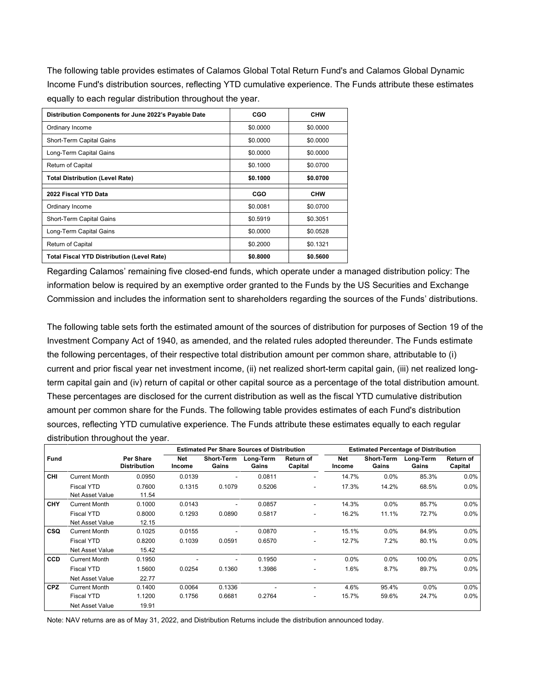The following table provides estimates of Calamos Global Total Return Fund's and Calamos Global Dynamic Income Fund's distribution sources, reflecting YTD cumulative experience. The Funds attribute these estimates equally to each regular distribution throughout the year.

| Distribution Components for June 2022's Payable Date | CGO      | <b>CHW</b> |  |
|------------------------------------------------------|----------|------------|--|
| Ordinary Income                                      | \$0.0000 | \$0.0000   |  |
| Short-Term Capital Gains                             | \$0.0000 | \$0.0000   |  |
| Long-Term Capital Gains                              | \$0.0000 | \$0.0000   |  |
| Return of Capital                                    | \$0.1000 | \$0.0700   |  |
| <b>Total Distribution (Level Rate)</b>               | \$0.1000 | \$0.0700   |  |
| 2022 Fiscal YTD Data                                 | CGO      | <b>CHW</b> |  |
| Ordinary Income                                      | \$0.0081 | \$0.0700   |  |
| Short-Term Capital Gains                             | \$0.5919 | \$0.3051   |  |
| Long-Term Capital Gains                              | \$0.0000 | \$0.0528   |  |
| Return of Capital                                    | \$0.2000 | \$0.1321   |  |
| <b>Total Fiscal YTD Distribution (Level Rate)</b>    | \$0.8000 | \$0.5600   |  |

Regarding Calamos' remaining five closed-end funds, which operate under a managed distribution policy: The information below is required by an exemptive order granted to the Funds by the US Securities and Exchange Commission and includes the information sent to shareholders regarding the sources of the Funds' distributions.

The following table sets forth the estimated amount of the sources of distribution for purposes of Section 19 of the Investment Company Act of 1940, as amended, and the related rules adopted thereunder. The Funds estimate the following percentages, of their respective total distribution amount per common share, attributable to (i) current and prior fiscal year net investment income, (ii) net realized short-term capital gain, (iii) net realized longterm capital gain and (iv) return of capital or other capital source as a percentage of the total distribution amount. These percentages are disclosed for the current distribution as well as the fiscal YTD cumulative distribution amount per common share for the Funds. The following table provides estimates of each Fund's distribution sources, reflecting YTD cumulative experience. The Funds attribute these estimates equally to each regular distribution throughout the year.

|             |                                             |                                         | <b>Estimated Per Share Sources of Distribution</b> |                          |                    |                          |                      | <b>Estimated Percentage of Distribution</b> |                    |                      |
|-------------|---------------------------------------------|-----------------------------------------|----------------------------------------------------|--------------------------|--------------------|--------------------------|----------------------|---------------------------------------------|--------------------|----------------------|
| <b>Fund</b> |                                             | <b>Per Share</b><br><b>Distribution</b> | Net<br>Income                                      | Short-Term<br>Gains      | Long-Term<br>Gains | Return of<br>Capital     | <b>Net</b><br>Income | Short-Term<br>Gains                         | Long-Term<br>Gains | Return of<br>Capital |
| CHI         | <b>Current Month</b>                        | 0.0950                                  | 0.0139                                             | $\overline{\phantom{0}}$ | 0.0811             | $\overline{\phantom{0}}$ | 14.7%                | $0.0\%$                                     | 85.3%              | $0.0\%$              |
|             | <b>Fiscal YTD</b><br><b>Net Asset Value</b> | 0.7600<br>11.54                         | 0.1315                                             | 0.1079                   | 0.5206             | ٠                        | 17.3%                | 14.2%                                       | 68.5%              | $0.0\%$              |
| <b>CHY</b>  | <b>Current Month</b>                        | 0.1000                                  | 0.0143                                             |                          | 0.0857             | ۰                        | 14.3%                | $0.0\%$                                     | 85.7%              | $0.0\%$              |
|             | <b>Fiscal YTD</b>                           | 0.8000                                  | 0.1293                                             | 0.0890                   | 0.5817             | ۰                        | 16.2%                | 11.1%                                       | 72.7%              | $0.0\%$              |
|             | <b>Net Asset Value</b>                      | 12.15                                   |                                                    |                          |                    |                          |                      |                                             |                    |                      |
| <b>CSQ</b>  | <b>Current Month</b>                        | 0.1025                                  | 0.0155                                             |                          | 0.0870             | ۰                        | 15.1%                | $0.0\%$                                     | 84.9%              | $0.0\%$              |
|             | <b>Fiscal YTD</b>                           | 0.8200                                  | 0.1039                                             | 0.0591                   | 0.6570             | ٠                        | 12.7%                | 7.2%                                        | 80.1%              | $0.0\%$              |
|             | <b>Net Asset Value</b>                      | 15.42                                   |                                                    |                          |                    |                          |                      |                                             |                    |                      |
| <b>CCD</b>  | <b>Current Month</b>                        | 0.1950                                  |                                                    |                          | 0.1950             | ٠                        | $0.0\%$              | $0.0\%$                                     | 100.0%             | $0.0\%$              |
|             | Fiscal YTD                                  | 1.5600                                  | 0.0254                                             | 0.1360                   | 1.3986             | ٠                        | 1.6%                 | 8.7%                                        | 89.7%              | $0.0\%$              |
|             | Net Asset Value                             | 22.77                                   |                                                    |                          |                    |                          |                      |                                             |                    |                      |
| <b>CPZ</b>  | <b>Current Month</b>                        | 0.1400                                  | 0.0064                                             | 0.1336                   |                    | ۰                        | 4.6%                 | 95.4%                                       | 0.0%               | $0.0\%$              |
|             | <b>Fiscal YTD</b>                           | 1.1200                                  | 0.1756                                             | 0.6681                   | 0.2764             | ٠                        | 15.7%                | 59.6%                                       | 24.7%              | $0.0\%$              |
|             | <b>Net Asset Value</b>                      | 19.91                                   |                                                    |                          |                    |                          |                      |                                             |                    |                      |

Note: NAV returns are as of May 31, 2022, and Distribution Returns include the distribution announced today.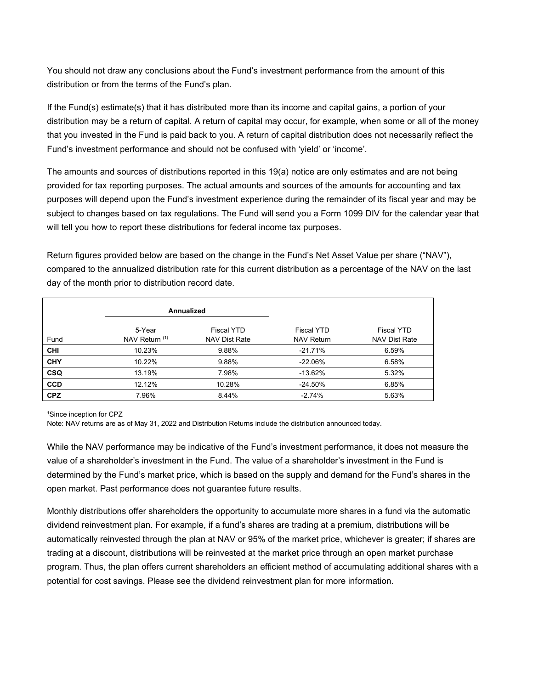You should not draw any conclusions about the Fund's investment performance from the amount of this distribution or from the terms of the Fund's plan.

If the Fund(s) estimate(s) that it has distributed more than its income and capital gains, a portion of your distribution may be a return of capital. A return of capital may occur, for example, when some or all of the money that you invested in the Fund is paid back to you. A return of capital distribution does not necessarily reflect the Fund's investment performance and should not be confused with 'yield' or 'income'.

The amounts and sources of distributions reported in this 19(a) notice are only estimates and are not being provided for tax reporting purposes. The actual amounts and sources of the amounts for accounting and tax purposes will depend upon the Fund's investment experience during the remainder of its fiscal year and may be subject to changes based on tax regulations. The Fund will send you a Form 1099 DIV for the calendar year that will tell you how to report these distributions for federal income tax purposes.

Return figures provided below are based on the change in the Fund's Net Asset Value per share ("NAV"), compared to the annualized distribution rate for this current distribution as a percentage of the NAV on the last day of the month prior to distribution record date.

|            |                          | Annualized                                |                                        |                                           |
|------------|--------------------------|-------------------------------------------|----------------------------------------|-------------------------------------------|
| Fund       | 5-Year<br>NAV Return (1) | <b>Fiscal YTD</b><br><b>NAV Dist Rate</b> | <b>Fiscal YTD</b><br><b>NAV Return</b> | <b>Fiscal YTD</b><br><b>NAV Dist Rate</b> |
| <b>CHI</b> | 10.23%                   | 9.88%                                     | $-21.71%$                              | 6.59%                                     |
| <b>CHY</b> | 10.22%                   | 9.88%                                     | $-22.06%$                              | 6.58%                                     |
| <b>CSQ</b> | 13.19%                   | 7.98%                                     | $-13.62%$                              | 5.32%                                     |
| <b>CCD</b> | 12.12%                   | 10.28%                                    | $-24.50%$                              | 6.85%                                     |
| <b>CPZ</b> | 7.96%                    | 8.44%                                     | $-2.74%$                               | 5.63%                                     |

1 Since inception for CPZ

Note: NAV returns are as of May 31, 2022 and Distribution Returns include the distribution announced today.

While the NAV performance may be indicative of the Fund's investment performance, it does not measure the value of a shareholder's investment in the Fund. The value of a shareholder's investment in the Fund is determined by the Fund's market price, which is based on the supply and demand for the Fund's shares in the open market. Past performance does not guarantee future results.

Monthly distributions offer shareholders the opportunity to accumulate more shares in a fund via the automatic dividend reinvestment plan. For example, if a fund's shares are trading at a premium, distributions will be automatically reinvested through the plan at NAV or 95% of the market price, whichever is greater; if shares are trading at a discount, distributions will be reinvested at the market price through an open market purchase program. Thus, the plan offers current shareholders an efficient method of accumulating additional shares with a potential for cost savings. Please see the dividend reinvestment plan for more information.